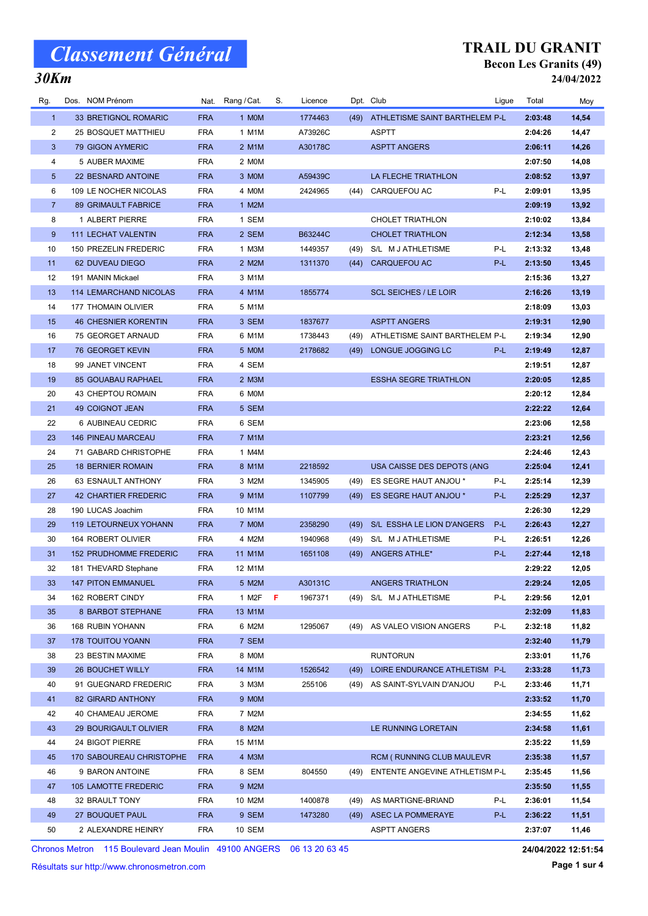## 30Km

#### TRAIL DU GRANIT Becon Les Granits (49) 24/04/2022

| Rg.             | Dos. NOM Prénom               |            | Nat. Rang / Cat. | S. | Licence |      | Dpt. Club                           | Ligue | Total   | Moy   |
|-----------------|-------------------------------|------------|------------------|----|---------|------|-------------------------------------|-------|---------|-------|
| $\mathbf{1}$    | 33 BRETIGNOL ROMARIC          | <b>FRA</b> | 1 MOM            |    | 1774463 |      | (49) ATHLETISME SAINT BARTHELEM P-L |       | 2:03:48 | 14,54 |
| 2               | 25 BOSQUET MATTHIEU           | <b>FRA</b> | 1 M1M            |    | A73926C |      | <b>ASPTT</b>                        |       | 2:04:26 | 14,47 |
| 3               | 79 GIGON AYMERIC              | <b>FRA</b> | 2 M1M            |    | A30178C |      | <b>ASPTT ANGERS</b>                 |       | 2:06:11 | 14,26 |
| 4               | 5 AUBER MAXIME                | <b>FRA</b> | 2 MOM            |    |         |      |                                     |       | 2:07:50 | 14,08 |
| $5\phantom{.0}$ | 22 BESNARD ANTOINE            | <b>FRA</b> | 3 MOM            |    | A59439C |      | LA FLECHE TRIATHLON                 |       | 2:08:52 | 13,97 |
| 6               | 109 LE NOCHER NICOLAS         | <b>FRA</b> | 4 MOM            |    | 2424965 |      | (44) CARQUEFOU AC                   | P-L   | 2:09:01 | 13,95 |
| $\overline{7}$  | 89 GRIMAULT FABRICE           | <b>FRA</b> | 1 M2M            |    |         |      |                                     |       | 2:09:19 | 13,92 |
| 8               | 1 ALBERT PIERRE               | <b>FRA</b> | 1 SEM            |    |         |      | CHOLET TRIATHLON                    |       | 2:10:02 | 13,84 |
| 9               | <b>111 LECHAT VALENTIN</b>    | <b>FRA</b> | 2 SEM            |    | B63244C |      | <b>CHOLET TRIATHLON</b>             |       | 2:12:34 | 13,58 |
| 10              | 150 PREZELIN FREDERIC         | <b>FRA</b> | 1 M3M            |    | 1449357 | (49) | S/L M J ATHLETISME                  | P-L   | 2:13:32 | 13,48 |
| 11              | 62 DUVEAU DIEGO               | <b>FRA</b> | 2 M2M            |    | 1311370 | (44) | CARQUEFOU AC                        | P-L   | 2:13:50 | 13,45 |
| 12              | 191 MANIN Mickael             | <b>FRA</b> | 3 M1M            |    |         |      |                                     |       | 2:15:36 | 13,27 |
| 13              | <b>114 LEMARCHAND NICOLAS</b> | <b>FRA</b> | 4 M1M            |    | 1855774 |      | <b>SCL SEICHES / LE LOIR</b>        |       | 2:16:26 | 13,19 |
| 14              | 177 THOMAIN OLIVIER           | <b>FRA</b> | 5 M1M            |    |         |      |                                     |       | 2:18:09 | 13,03 |
| 15              | <b>46 CHESNIER KORENTIN</b>   | <b>FRA</b> | 3 SEM            |    | 1837677 |      | <b>ASPTT ANGERS</b>                 |       | 2:19:31 | 12,90 |
| 16              | 75 GEORGET ARNAUD             | <b>FRA</b> | 6 M1M            |    | 1738443 | (49) | ATHLETISME SAINT BARTHELEM P-L      |       | 2:19:34 | 12,90 |
| 17              | 76 GEORGET KEVIN              | <b>FRA</b> | 5 MOM            |    | 2178682 | (49) | LONGUE JOGGING LC                   | P-L   | 2:19:49 | 12,87 |
| 18              | 99 JANET VINCENT              | <b>FRA</b> | 4 SEM            |    |         |      |                                     |       | 2:19:51 | 12,87 |
| 19              | <b>85 GOUABAU RAPHAEL</b>     | <b>FRA</b> | 2 M3M            |    |         |      | <b>ESSHA SEGRE TRIATHLON</b>        |       | 2:20:05 | 12,85 |
| 20              | 43 CHEPTOU ROMAIN             | <b>FRA</b> | 6 MOM            |    |         |      |                                     |       | 2:20:12 | 12,84 |
| 21              | <b>49 COIGNOT JEAN</b>        | <b>FRA</b> | 5 SEM            |    |         |      |                                     |       | 2:22:22 | 12,64 |
| 22              | 6 AUBINEAU CEDRIC             | <b>FRA</b> | 6 SEM            |    |         |      |                                     |       | 2:23:06 | 12,58 |
| 23              | <b>146 PINEAU MARCEAU</b>     | <b>FRA</b> | 7 M1M            |    |         |      |                                     |       | 2:23:21 | 12,56 |
| 24              | 71 GABARD CHRISTOPHE          | <b>FRA</b> | 1 M4M            |    |         |      |                                     |       | 2:24:46 | 12,43 |
| 25              | <b>18 BERNIER ROMAIN</b>      | <b>FRA</b> | 8 M1M            |    | 2218592 |      | USA CAISSE DES DEPOTS (ANG          |       | 2:25:04 | 12,41 |
| 26              | 63 ESNAULT ANTHONY            | <b>FRA</b> | 3 M2M            |    | 1345905 | (49) | ES SEGRE HAUT ANJOU *               | P-L   | 2:25:14 | 12,39 |
| 27              | 42 CHARTIER FREDERIC          | <b>FRA</b> | 9 M1M            |    | 1107799 | (49) | ES SEGRE HAUT ANJOU *               | P-L   | 2:25:29 | 12,37 |
| 28              | 190 LUCAS Joachim             | <b>FRA</b> | 10 M1M           |    |         |      |                                     |       | 2:26:30 | 12,29 |
| 29              | <b>119 LETOURNEUX YOHANN</b>  | <b>FRA</b> | 7 MOM            |    | 2358290 | (49) | S/L ESSHA LE LION D'ANGERS          | P-L   | 2:26:43 | 12,27 |
| 30              | 164 ROBERT OLIVIER            | <b>FRA</b> | 4 M2M            |    | 1940968 | (49) | S/L M J ATHLETISME                  | P-L   | 2:26:51 | 12,26 |
| 31              | <b>152 PRUDHOMME FREDERIC</b> | <b>FRA</b> | 11 M1M           |    | 1651108 | (49) | ANGERS ATHLE*                       | P-L   | 2:27:44 | 12,18 |
| 32              | 181 THEVARD Stephane          | FRA        | 12 M1M           |    |         |      |                                     |       | 2:29:22 | 12,05 |
| 33              | <b>147 PITON EMMANUEL</b>     | <b>FRA</b> | 5 M2M            |    | A30131C |      | ANGERS TRIATHLON                    |       | 2:29:24 | 12,05 |
| 34              | 162 ROBERT CINDY              | <b>FRA</b> | 1 M2F            | F  | 1967371 | (49) | S/L M J ATHLETISME                  | P-L   | 2:29:56 | 12,01 |
| 35              | 8 BARBOT STEPHANE             | <b>FRA</b> | 13 M1M           |    |         |      |                                     |       | 2:32:09 | 11,83 |
| 36              | 168 RUBIN YOHANN              | <b>FRA</b> | 6 M2M            |    | 1295067 | (49) | AS VALEO VISION ANGERS              | P-L   | 2:32:18 | 11,82 |
| 37              | <b>178 TOUITOU YOANN</b>      | <b>FRA</b> | 7 SEM            |    |         |      |                                     |       | 2:32:40 | 11,79 |
| 38              | 23 BESTIN MAXIME              | <b>FRA</b> | 8 MOM            |    |         |      | <b>RUNTORUN</b>                     |       | 2:33:01 | 11,76 |
| 39              | 26 BOUCHET WILLY              | <b>FRA</b> | 14 M1M           |    | 1526542 | (49) | LOIRE ENDURANCE ATHLETISM P-L       |       | 2:33:28 | 11,73 |
| 40              | 91 GUEGNARD FREDERIC          | <b>FRA</b> | 3 M3M            |    | 255106  | (49) | AS SAINT-SYLVAIN D'ANJOU            | P-L   | 2:33:46 | 11,71 |
| 41              | 82 GIRARD ANTHONY             | <b>FRA</b> | 9 MOM            |    |         |      |                                     |       | 2:33:52 | 11,70 |
| 42              | 40 CHAMEAU JEROME             | <b>FRA</b> | 7 M2M            |    |         |      |                                     |       | 2:34:55 | 11,62 |
| 43              | 29 BOURIGAULT OLIVIER         | <b>FRA</b> | 8 M2M            |    |         |      | LE RUNNING LORETAIN                 |       | 2:34:58 | 11,61 |
| 44              | 24 BIGOT PIERRE               | <b>FRA</b> | 15 M1M           |    |         |      |                                     |       | 2:35:22 | 11,59 |
| 45              | 170 SABOUREAU CHRISTOPHE      | <b>FRA</b> | 4 M3M            |    |         |      | RCM ( RUNNING CLUB MAULEVR          |       | 2:35:38 | 11,57 |
| 46              | 9 BARON ANTOINE               | <b>FRA</b> | 8 SEM            |    | 804550  | (49) | ENTENTE ANGEVINE ATHLETISM P-L      |       | 2:35:45 | 11,56 |
| 47              | 105 LAMOTTE FREDERIC          | <b>FRA</b> | 9 M2M            |    |         |      |                                     |       | 2:35:50 | 11,55 |
| 48              | 32 BRAULT TONY                | FRA        | 10 M2M           |    | 1400878 | (49) | AS MARTIGNE-BRIAND                  | P-L   | 2:36:01 | 11,54 |
| 49              | 27 BOUQUET PAUL               | <b>FRA</b> | 9 SEM            |    | 1473280 | (49) | <b>ASEC LA POMMERAYE</b>            | P-L   | 2:36:22 | 11,51 |
| 50              | 2 ALEXANDRE HEINRY            | FRA        | 10 SEM           |    |         |      | <b>ASPTT ANGERS</b>                 |       | 2:37:07 | 11,46 |

Chronos Metron 115 Boulevard Jean Moulin 49100 ANGERS 06 13 20 63 45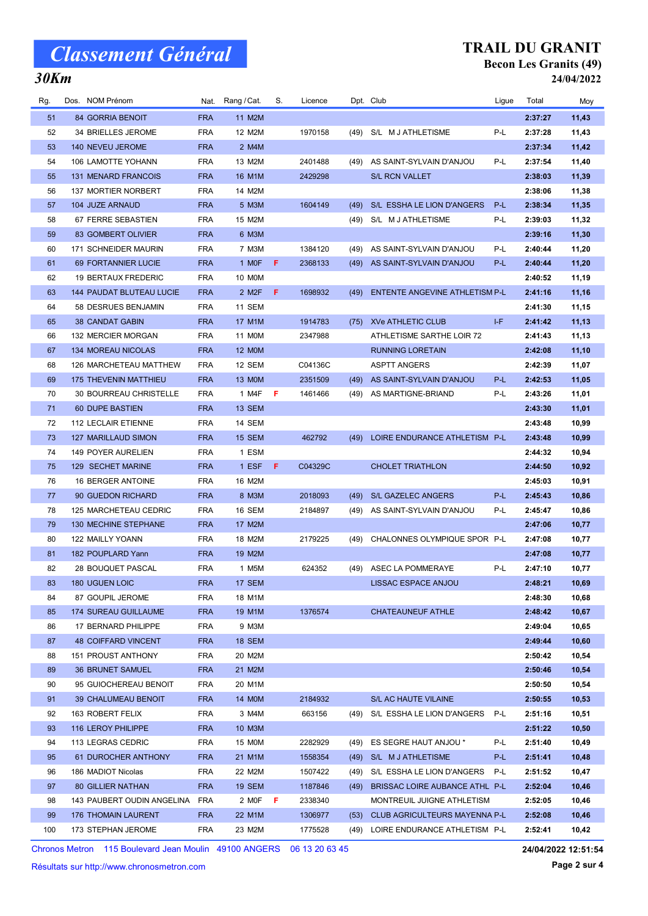## 30Km

#### TRAIL DU GRANIT Becon Les Granits (49) 24/04/2022

| Rg. | Dos. NOM Prénom                 |            | Nat. Rang / Cat.   | S. | Licence |      | Dpt. Club                      | Ligue | Total   | Moy   |
|-----|---------------------------------|------------|--------------------|----|---------|------|--------------------------------|-------|---------|-------|
| 51  | 84 GORRIA BENOIT                | <b>FRA</b> | 11 M2M             |    |         |      |                                |       | 2:37:27 | 11,43 |
| 52  | 34 BRIELLES JEROME              | <b>FRA</b> | 12 M2M             |    | 1970158 | (49) | S/L M J ATHLETISME             | P-L   | 2:37:28 | 11,43 |
| 53  | 140 NEVEU JEROME                | <b>FRA</b> | 2 M4M              |    |         |      |                                |       | 2:37:34 | 11,42 |
| 54  | 106 LAMOTTE YOHANN              | <b>FRA</b> | 13 M2M             |    | 2401488 | (49) | AS SAINT-SYLVAIN D'ANJOU       | P-L   | 2:37:54 | 11,40 |
| 55  | <b>131 MENARD FRANCOIS</b>      | <b>FRA</b> | 16 M1M             |    | 2429298 |      | <b>S/L RCN VALLET</b>          |       | 2:38:03 | 11,39 |
| 56  | 137 MORTIER NORBERT             | <b>FRA</b> | 14 M2M             |    |         |      |                                |       | 2:38:06 | 11,38 |
| 57  | 104 JUZE ARNAUD                 | <b>FRA</b> | 5 M3M              |    | 1604149 | (49) | S/L ESSHA LE LION D'ANGERS     | P-L   | 2:38:34 | 11,35 |
| 58  | 67 FERRE SEBASTIEN              | <b>FRA</b> | 15 M2M             |    |         | (49) | S/L M J ATHLETISME             | P-L   | 2:39:03 | 11,32 |
| 59  | 83 GOMBERT OLIVIER              | <b>FRA</b> | 6 M3M              |    |         |      |                                |       | 2:39:16 | 11,30 |
| 60  | 171 SCHNEIDER MAURIN            | <b>FRA</b> | 7 M3M              |    | 1384120 | (49) | AS SAINT-SYLVAIN D'ANJOU       | P-L   | 2:40:44 | 11,20 |
| 61  | 69 FORTANNIER LUCIE             | <b>FRA</b> | 1 MOF              | F  | 2368133 | (49) | AS SAINT-SYLVAIN D'ANJOU       | P-L   | 2:40:44 | 11,20 |
| 62  | <b>19 BERTAUX FREDERIC</b>      | <b>FRA</b> | 10 M0M             |    |         |      |                                |       | 2:40:52 | 11,19 |
| 63  | <b>144 PAUDAT BLUTEAU LUCIE</b> | <b>FRA</b> | 2 M <sub>2</sub> F | F. | 1698932 | (49) | ENTENTE ANGEVINE ATHLETISM P-L |       | 2:41:16 | 11,16 |
| 64  | 58 DESRUES BENJAMIN             | <b>FRA</b> | 11 SEM             |    |         |      |                                |       | 2:41:30 | 11,15 |
| 65  | <b>38 CANDAT GABIN</b>          | <b>FRA</b> | 17 M1M             |    | 1914783 | (75) | <b>XVe ATHLETIC CLUB</b>       | I-F   | 2:41:42 | 11,13 |
| 66  | 132 MERCIER MORGAN              | <b>FRA</b> | 11 M0M             |    | 2347988 |      | ATHLETISME SARTHE LOIR 72      |       | 2:41:43 | 11,13 |
| 67  | 134 MOREAU NICOLAS              | <b>FRA</b> | <b>12 MOM</b>      |    |         |      | <b>RUNNING LORETAIN</b>        |       | 2:42:08 | 11,10 |
| 68  | 126 MARCHETEAU MATTHEW          | <b>FRA</b> | 12 SEM             |    | C04136C |      | <b>ASPTT ANGERS</b>            |       | 2:42:39 | 11,07 |
| 69  | 175 THEVENIN MATTHIEU           | <b>FRA</b> | 13 MOM             |    | 2351509 | (49) | AS SAINT-SYLVAIN D'ANJOU       | P-L   | 2:42:53 | 11,05 |
| 70  | 30 BOURREAU CHRISTELLE          | <b>FRA</b> | 1 M4F              | F  | 1461466 | (49) | AS MARTIGNE-BRIAND             | P-L   | 2:43:26 | 11,01 |
| 71  | <b>60 DUPE BASTIEN</b>          | <b>FRA</b> | 13 SEM             |    |         |      |                                |       | 2:43:30 | 11,01 |
| 72  | 112 LECLAIR ETIENNE             | <b>FRA</b> | 14 SEM             |    |         |      |                                |       | 2:43:48 | 10,99 |
| 73  | <b>127 MARILLAUD SIMON</b>      | <b>FRA</b> | 15 SEM             |    | 462792  | (49) | LOIRE ENDURANCE ATHLETISM P-L  |       | 2:43:48 | 10,99 |
| 74  | 149 POYER AURELIEN              | <b>FRA</b> | 1 ESM              |    |         |      |                                |       | 2:44:32 | 10,94 |
| 75  | 129 SECHET MARINE               | <b>FRA</b> | 1 ESF              | F  | C04329C |      | <b>CHOLET TRIATHLON</b>        |       | 2:44:50 | 10,92 |
| 76  | 16 BERGER ANTOINE               | <b>FRA</b> | 16 M2M             |    |         |      |                                |       | 2:45:03 | 10,91 |
| 77  | 90 GUEDON RICHARD               | <b>FRA</b> | 8 M3M              |    | 2018093 | (49) | S/L GAZELEC ANGERS             | P-L   | 2:45:43 | 10,86 |
| 78  | 125 MARCHETEAU CEDRIC           | <b>FRA</b> | 16 SEM             |    | 2184897 | (49) | AS SAINT-SYLVAIN D'ANJOU       | P-L   | 2:45:47 | 10,86 |
| 79  | 130 MECHINE STEPHANE            | <b>FRA</b> | 17 M2M             |    |         |      |                                |       | 2:47:06 | 10,77 |
| 80  | 122 MAILLY YOANN                | <b>FRA</b> | 18 M2M             |    | 2179225 | (49) | CHALONNES OLYMPIQUE SPOR P-L   |       | 2:47:08 | 10,77 |
| 81  | 182 POUPLARD Yann               | <b>FRA</b> | 19 M2M             |    |         |      |                                |       | 2:47:08 | 10,77 |
| 82  | <b>28 BOUQUET PASCAL</b>        | <b>FRA</b> | 1 M5M              |    | 624352  |      | (49) ASEC LA POMMERAYE         | P-L   | 2:47:10 | 10,77 |
| 83  | 180 UGUEN LOIC                  | <b>FRA</b> | 17 SEM             |    |         |      | LISSAC ESPACE ANJOU            |       | 2:48:21 | 10,69 |
| 84  | 87 GOUPIL JEROME                | <b>FRA</b> | 18 M1M             |    |         |      |                                |       | 2:48:30 | 10,68 |
| 85  | <b>174 SUREAU GUILLAUME</b>     | <b>FRA</b> | 19 M1M             |    | 1376574 |      | <b>CHATEAUNEUF ATHLE</b>       |       | 2:48:42 | 10,67 |
| 86  | 17 BERNARD PHILIPPE             | <b>FRA</b> | 9 M3M              |    |         |      |                                |       | 2:49:04 | 10,65 |
| 87  | <b>48 COIFFARD VINCENT</b>      | <b>FRA</b> | <b>18 SEM</b>      |    |         |      |                                |       | 2:49:44 | 10,60 |
| 88  | 151 PROUST ANTHONY              | <b>FRA</b> | 20 M2M             |    |         |      |                                |       | 2:50:42 | 10,54 |
| 89  | <b>36 BRUNET SAMUEL</b>         | <b>FRA</b> | 21 M2M             |    |         |      |                                |       | 2:50:46 | 10,54 |
| 90  | 95 GUIOCHEREAU BENOIT           | <b>FRA</b> | 20 M1M             |    |         |      |                                |       | 2:50:50 | 10,54 |
| 91  | 39 CHALUMEAU BENOIT             | <b>FRA</b> | <b>14 MOM</b>      |    | 2184932 |      | S/L AC HAUTE VILAINE           |       | 2:50:55 | 10,53 |
| 92  | 163 ROBERT FELIX                | <b>FRA</b> | 3 M4M              |    | 663156  | (49) | S/L ESSHA LE LION D'ANGERS     | P-L   | 2:51:16 | 10,51 |
| 93  | 116 LEROY PHILIPPE              | <b>FRA</b> | 10 M3M             |    |         |      |                                |       | 2:51:22 | 10,50 |
| 94  | 113 LEGRAS CEDRIC               | <b>FRA</b> | 15 M0M             |    | 2282929 | (49) | ES SEGRE HAUT ANJOU *          | P-L   | 2:51:40 | 10,49 |
| 95  | 61 DUROCHER ANTHONY             | <b>FRA</b> | 21 M1M             |    | 1558354 | (49) | S/L M J ATHLETISME             | P-L   | 2:51:41 | 10,48 |
| 96  | 186 MADIOT Nicolas              | <b>FRA</b> | 22 M2M             |    | 1507422 | (49) | S/L ESSHA LE LION D'ANGERS     | P-L   | 2:51:52 | 10,47 |
| 97  | <b>80 GILLIER NATHAN</b>        | <b>FRA</b> | <b>19 SEM</b>      |    | 1187846 | (49) | BRISSAC LOIRE AUBANCE ATHL P-L |       | 2:52:04 | 10,46 |
| 98  | 143 PAUBERT OUDIN ANGELINA      | FRA        | 2 MOF $F$          |    | 2338340 |      | MONTREUIL JUIGNE ATHLETISM     |       | 2:52:05 | 10,46 |
| 99  | 176 THOMAIN LAURENT             | <b>FRA</b> | 22 M1M             |    | 1306977 | (53) | CLUB AGRICULTEURS MAYENNA P-L  |       | 2:52:08 | 10,46 |
| 100 | 173 STEPHAN JEROME              | <b>FRA</b> | 23 M2M             |    | 1775528 | (49) | LOIRE ENDURANCE ATHLETISM P-L  |       | 2:52:41 | 10,42 |

Chronos Metron 115 Boulevard Jean Moulin 49100 ANGERS 06 13 20 63 45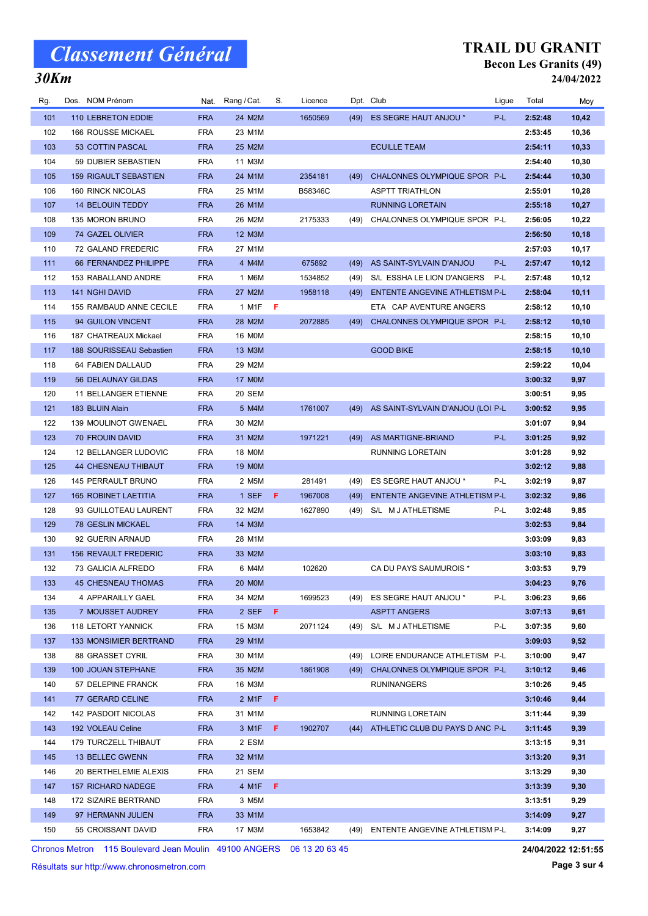## 30Km

#### TRAIL DU GRANIT Becon Les Granits (49) 24/04/2022

| Rg. | Dos. NOM Prénom              | Nat.       | Rang / Cat.                         | S.  | Licence |      | Dpt. Club                         | Ligue | Total   | Moy   |
|-----|------------------------------|------------|-------------------------------------|-----|---------|------|-----------------------------------|-------|---------|-------|
| 101 | 110 LEBRETON EDDIE           | <b>FRA</b> | 24 M2M                              |     | 1650569 | (49) | ES SEGRE HAUT ANJOU *             | P-L   | 2:52:48 | 10,42 |
| 102 | 166 ROUSSE MICKAEL           | <b>FRA</b> | 23 M1M                              |     |         |      |                                   |       | 2:53:45 | 10,36 |
| 103 | 53 COTTIN PASCAL             | <b>FRA</b> | 25 M2M                              |     |         |      | <b>ECUILLE TEAM</b>               |       | 2:54:11 | 10,33 |
| 104 | 59 DUBIER SEBASTIEN          | <b>FRA</b> | 11 M3M                              |     |         |      |                                   |       | 2:54:40 | 10,30 |
| 105 | <b>159 RIGAULT SEBASTIEN</b> | <b>FRA</b> | 24 M1M                              |     | 2354181 | (49) | CHALONNES OLYMPIQUE SPOR P-L      |       | 2:54:44 | 10,30 |
| 106 | 160 RINCK NICOLAS            | <b>FRA</b> | 25 M1M                              |     | B58346C |      | <b>ASPTT TRIATHLON</b>            |       | 2:55:01 | 10,28 |
| 107 | <b>14 BELOUIN TEDDY</b>      | <b>FRA</b> | 26 M1M                              |     |         |      | <b>RUNNING LORETAIN</b>           |       | 2:55:18 | 10,27 |
| 108 | 135 MORON BRUNO              | <b>FRA</b> | 26 M2M                              |     | 2175333 | (49) | CHALONNES OLYMPIQUE SPOR P-L      |       | 2:56:05 | 10,22 |
| 109 | 74 GAZEL OLIVIER             | <b>FRA</b> | 12 M3M                              |     |         |      |                                   |       | 2:56:50 | 10,18 |
| 110 | 72 GALAND FREDERIC           | <b>FRA</b> | 27 M1M                              |     |         |      |                                   |       | 2:57:03 | 10,17 |
| 111 | 66 FERNANDEZ PHILIPPE        | <b>FRA</b> | 4 M4M                               |     | 675892  | (49) | AS SAINT-SYLVAIN D'ANJOU          | P-L   | 2:57:47 | 10,12 |
| 112 | 153 RABALLAND ANDRE          | <b>FRA</b> | 1 M6M                               |     | 1534852 | (49) | S/L ESSHA LE LION D'ANGERS        | P-L   | 2:57:48 | 10,12 |
| 113 | 141 NGHI DAVID               | <b>FRA</b> | 27 M2M                              |     | 1958118 | (49) | ENTENTE ANGEVINE ATHLETISM P-L    |       | 2:58:04 | 10,11 |
| 114 | 155 RAMBAUD ANNE CECILE      | <b>FRA</b> | 1 M1F                               | F   |         |      | ETA CAP AVENTURE ANGERS           |       | 2:58:12 | 10,10 |
| 115 | 94 GUILON VINCENT            | <b>FRA</b> | 28 M2M                              |     | 2072885 | (49) | CHALONNES OLYMPIQUE SPOR P-L      |       | 2:58:12 | 10,10 |
| 116 | 187 CHATREAUX Mickael        | <b>FRA</b> | 16 M0M                              |     |         |      |                                   |       | 2:58:15 | 10,10 |
| 117 | 188 SOURISSEAU Sebastien     | <b>FRA</b> | 13 M3M                              |     |         |      | <b>GOOD BIKE</b>                  |       | 2:58:15 | 10,10 |
| 118 | 64 FABIEN DALLAUD            | <b>FRA</b> | 29 M2M                              |     |         |      |                                   |       | 2:59:22 | 10,04 |
| 119 | 56 DELAUNAY GILDAS           | <b>FRA</b> | 17 M0M                              |     |         |      |                                   |       | 3:00:32 | 9,97  |
| 120 | 11 BELLANGER ETIENNE         | <b>FRA</b> | 20 SEM                              |     |         |      |                                   |       | 3:00:51 | 9,95  |
| 121 | 183 BLUIN Alain              | <b>FRA</b> | 5 M4M                               |     | 1761007 | (49) | AS SAINT-SYLVAIN D'ANJOU (LOI P-L |       | 3:00:52 | 9,95  |
| 122 | <b>139 MOULINOT GWENAEL</b>  | <b>FRA</b> | 30 M2M                              |     |         |      |                                   |       | 3:01:07 | 9,94  |
| 123 | <b>70 FROUIN DAVID</b>       | <b>FRA</b> | 31 M2M                              |     | 1971221 | (49) | AS MARTIGNE-BRIAND                | P-L   | 3:01:25 | 9,92  |
| 124 | 12 BELLANGER LUDOVIC         | <b>FRA</b> | 18 M0M                              |     |         |      | RUNNING LORETAIN                  |       | 3:01:28 | 9,92  |
| 125 | 44 CHESNEAU THIBAUT          | <b>FRA</b> | <b>19 MOM</b>                       |     |         |      |                                   |       | 3:02:12 | 9,88  |
| 126 | 145 PERRAULT BRUNO           | <b>FRA</b> | 2 M5M                               |     | 281491  | (49) | ES SEGRE HAUT ANJOU *             | P-L   | 3:02:19 | 9,87  |
| 127 | <b>165 ROBINET LAETITIA</b>  | <b>FRA</b> | 1 SEF                               | -F  | 1967008 | (49) | ENTENTE ANGEVINE ATHLETISM P-L    |       | 3:02:32 | 9,86  |
| 128 | 93 GUILLOTEAU LAURENT        | <b>FRA</b> | 32 M2M                              |     | 1627890 | (49) | S/L M J ATHLETISME                | P-L   | 3:02:48 | 9,85  |
| 129 | <b>78 GESLIN MICKAEL</b>     | <b>FRA</b> | 14 M3M                              |     |         |      |                                   |       | 3:02:53 | 9,84  |
| 130 | 92 GUERIN ARNAUD             | <b>FRA</b> | 28 M1M                              |     |         |      |                                   |       | 3:03:09 | 9,83  |
| 131 | <b>156 REVAULT FREDERIC</b>  | <b>FRA</b> | 33 M2M                              |     |         |      |                                   |       | 3:03:10 | 9,83  |
| 132 | 73 GALICIA ALFREDO           | <b>FRA</b> | 6 M4M                               |     | 102620  |      | CA DU PAYS SAUMUROIS *            |       | 3:03:53 | 9,79  |
| 133 | 45 CHESNEAU THOMAS           | <b>FRA</b> | 20 MOM                              |     |         |      |                                   |       | 3:04:23 | 9,76  |
| 134 | 4 APPARAILLY GAEL            | <b>FRA</b> | 34 M2M                              |     | 1699523 | (49) | ES SEGRE HAUT ANJOU *             | P-L   | 3:06:23 | 9,66  |
| 135 | 7 MOUSSET AUDREY             | <b>FRA</b> | 2 SEF                               | -F  |         |      | <b>ASPTT ANGERS</b>               |       | 3:07:13 | 9,61  |
| 136 | 118 LETORT YANNICK           | <b>FRA</b> | 15 M3M                              |     | 2071124 | (49) | S/L M J ATHLETISME                | P-L   | 3:07:35 | 9,60  |
| 137 | 133 MONSIMIER BERTRAND       | <b>FRA</b> | 29 M1M                              |     |         |      |                                   |       | 3:09:03 | 9,52  |
| 138 | 88 GRASSET CYRIL             | <b>FRA</b> | 30 M1M                              |     |         | (49) | LOIRE ENDURANCE ATHLETISM P-L     |       | 3:10:00 | 9,47  |
| 139 | 100 JOUAN STEPHANE           | <b>FRA</b> | 35 M2M                              |     | 1861908 | (49) | CHALONNES OLYMPIQUE SPOR P-L      |       | 3:10:12 | 9,46  |
| 140 | 57 DELEPINE FRANCK           | <b>FRA</b> | 16 M3M                              |     |         |      | <b>RUNINANGERS</b>                |       | 3:10:26 | 9,45  |
| 141 | 77 GERARD CELINE             | <b>FRA</b> | 2 M1F                               | - F |         |      |                                   |       | 3:10:46 | 9,44  |
| 142 | <b>142 PASDOIT NICOLAS</b>   | <b>FRA</b> | 31 M1M                              |     |         |      | <b>RUNNING LORETAIN</b>           |       | 3:11:44 | 9,39  |
| 143 | 192 VOLEAU Celine            | <b>FRA</b> | $3$ M <sub>1</sub> F $\overline{F}$ |     | 1902707 | (44) | ATHLETIC CLUB DU PAYS D ANC P-L   |       | 3:11:45 | 9,39  |
| 144 | 179 TURCZELL THIBAUT         | <b>FRA</b> | 2 ESM                               |     |         |      |                                   |       | 3:13:15 | 9,31  |
| 145 | 13 BELLEC GWENN              | <b>FRA</b> | 32 M1M                              |     |         |      |                                   |       | 3:13:20 | 9,31  |
| 146 | 20 BERTHELEMIE ALEXIS        | <b>FRA</b> | 21 SEM                              |     |         |      |                                   |       | 3:13:29 | 9,30  |
| 147 | 157 RICHARD NADEGE           | <b>FRA</b> | $4$ M <sub>1</sub> F $\overline{F}$ |     |         |      |                                   |       | 3:13:39 | 9,30  |
| 148 | 172 SIZAIRE BERTRAND         | <b>FRA</b> | 3 M5M                               |     |         |      |                                   |       | 3:13:51 | 9,29  |
| 149 | 97 HERMANN JULIEN            | <b>FRA</b> | 33 M1M                              |     |         |      |                                   |       | 3:14:09 | 9,27  |
| 150 | 55 CROISSANT DAVID           | <b>FRA</b> | 17 M3M                              |     | 1653842 | (49) | ENTENTE ANGEVINE ATHLETISM P-L    |       | 3:14:09 | 9,27  |

Chronos Metron 115 Boulevard Jean Moulin 49100 ANGERS 06 13 20 63 45